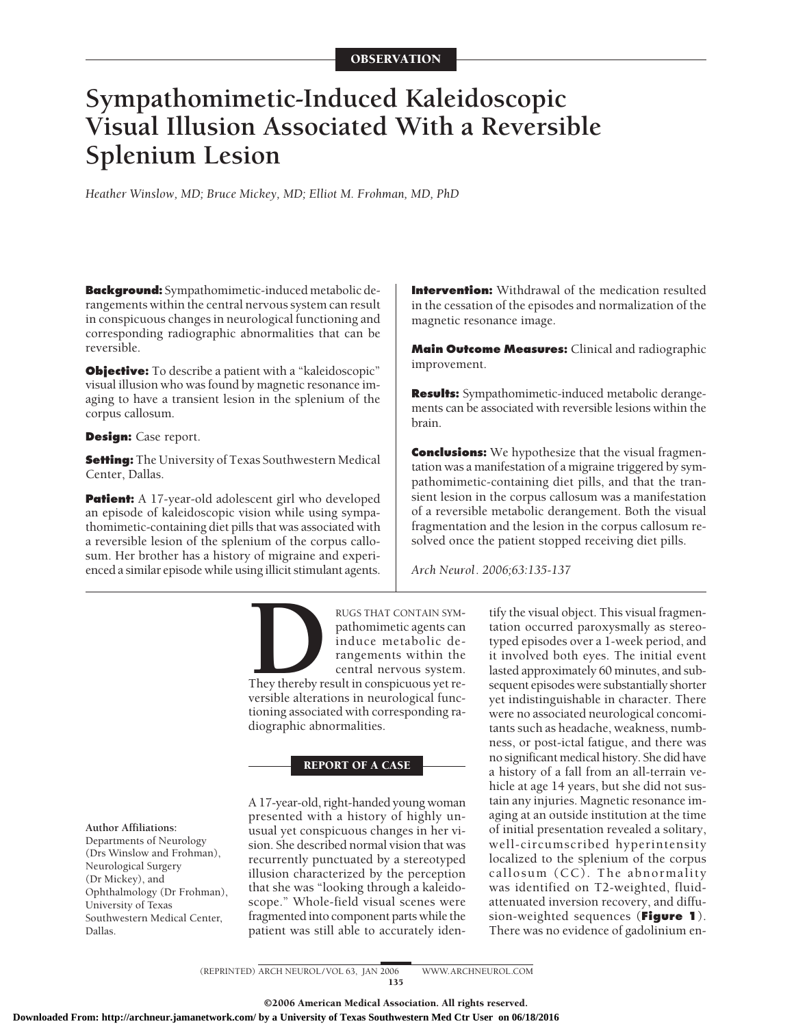# **Sympathomimetic-Induced Kaleidoscopic Visual Illusion Associated With a Reversible Splenium Lesion**

*Heather Winslow, MD; Bruce Mickey, MD; Elliot M. Frohman, MD, PhD*

**Background:** Sympathomimetic-induced metabolic derangements within the central nervous system can result in conspicuous changes in neurological functioning and corresponding radiographic abnormalities that can be reversible.

**Objective:** To describe a patient with a "kaleidoscopic" visual illusion who was found by magnetic resonance imaging to have a transient lesion in the splenium of the corpus callosum.

#### **Design:** Case report.

**Setting:** The University of Texas Southwestern Medical Center, Dallas.

**Patient:** A 17-year-old adolescent girl who developed an episode of kaleidoscopic vision while using sympathomimetic-containing diet pills that was associated with a reversible lesion of the splenium of the corpus callosum. Her brother has a history of migraine and experienced a similar episode while using illicit stimulant agents. **Intervention:** Withdrawal of the medication resulted in the cessation of the episodes and normalization of the magnetic resonance image.

**Main Outcome Measures:** Clinical and radiographic improvement.

**Results:** Sympathomimetic-induced metabolic derangements can be associated with reversible lesions within the brain.

**Conclusions:** We hypothesize that the visual fragmentation was a manifestation of a migraine triggered by sympathomimetic-containing diet pills, and that the transient lesion in the corpus callosum was a manifestation of a reversible metabolic derangement. Both the visual fragmentation and the lesion in the corpus callosum resolved once the patient stopped receiving diet pills.

*Arch Neurol. 2006;63:135-137*

RUGS THAT CONTAIN SYM-<br>
pathomimetic agents can<br>
induce metabolic de-<br>
rangements within the<br>
central nervous system.<br>
They thereby result in conspicuous yet re-<br>
versible alterations in neurological funcpathomimetic agents can induce metabolic derangements within the central nervous system. They thereby result in conspicuous yet re-

versible alterations in neurological functioning associated with corresponding radiographic abnormalities.

#### REPORT OF A CASE

A 17-year-old, right-handed young woman presented with a history of highly unusual yet conspicuous changes in her vision. She described normal vision that was recurrently punctuated by a stereotyped illusion characterized by the perception that she was "looking through a kaleidoscope." Whole-field visual scenes were fragmented into component parts while the patient was still able to accurately iden-

tify the visual object. This visual fragmentation occurred paroxysmally as stereotyped episodes over a 1-week period, and it involved both eyes. The initial event lasted approximately 60 minutes, and subsequent episodes were substantially shorter yet indistinguishable in character. There were no associated neurological concomitants such as headache, weakness, numbness, or post-ictal fatigue, and there was no significant medical history. She did have a history of a fall from an all-terrain vehicle at age 14 years, but she did not sustain any injuries. Magnetic resonance imaging at an outside institution at the time of initial presentation revealed a solitary, well-circumscribed hyperintensity localized to the splenium of the corpus callosum (CC). The abnormality was identified on T2-weighted, fluidattenuated inversion recovery, and diffusion-weighted sequences (**Figure 1**). There was no evidence of gadolinium en-

#### **Author Affiliations:**

Departments of Neurology (Drs Winslow and Frohman), Neurological Surgery (Dr Mickey), and Ophthalmology (Dr Frohman), University of Texas Southwestern Medical Center, Dallas.

> (REPRINTED) ARCH NEUROL/VOL 63, JAN 2006 WWW.ARCHNEUROL.COM 135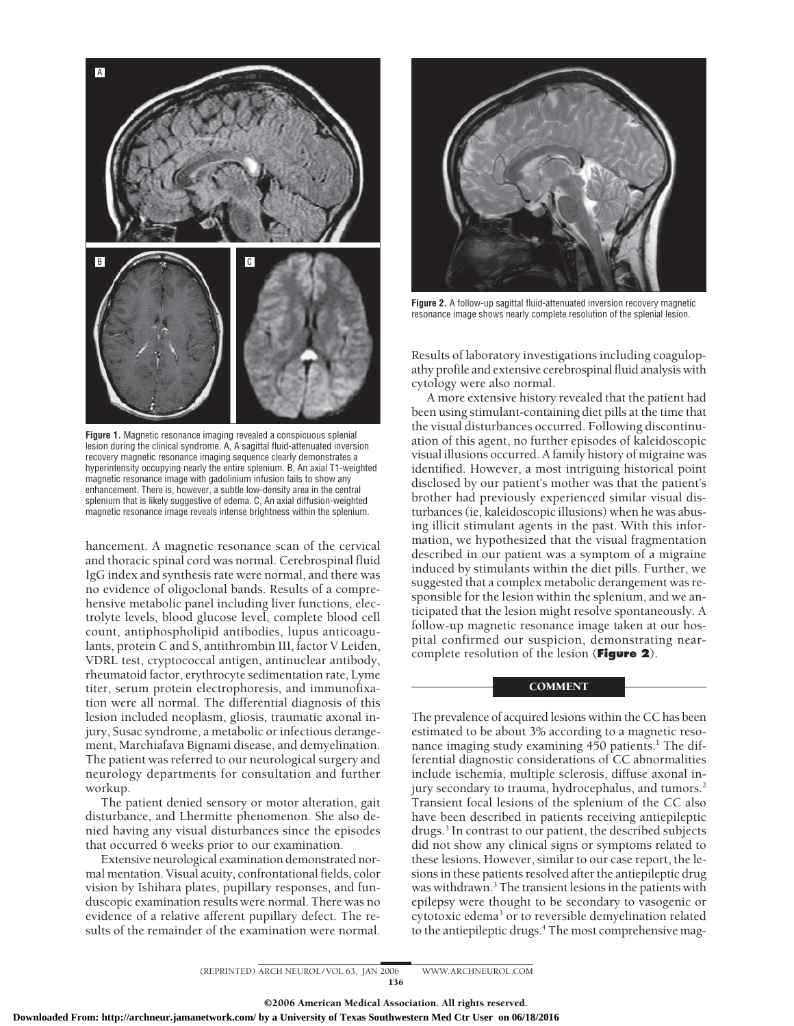

**Figure 1.** Magnetic resonance imaging revealed a conspicuous splenial lesion during the clinical syndrome. A, A sagittal fluid-attenuated inversion recovery magnetic resonance imaging sequence clearly demonstrates a hyperintensity occupying nearly the entire splenium. B, An axial T1-weighted magnetic resonance image with gadolinium infusion fails to show any enhancement. There is, however, a subtle low-density area in the central splenium that is likely suggestive of edema. C, An axial diffusion-weighted magnetic resonance image reveals intense brightness within the splenium.

hancement. A magnetic resonance scan of the cervical and thoracic spinal cord was normal. Cerebrospinal fluid IgG index and synthesis rate were normal, and there was no evidence of oligoclonal bands. Results of a comprehensive metabolic panel including liver functions, electrolyte levels, blood glucose level, complete blood cell count, antiphospholipid antibodies, lupus anticoagulants, protein C and S, antithrombin III, factor V Leiden, VDRL test, cryptococcal antigen, antinuclear antibody, rheumatoid factor, erythrocyte sedimentation rate, Lyme titer, serum protein electrophoresis, and immunofixation were all normal. The differential diagnosis of this lesion included neoplasm, gliosis, traumatic axonal injury, Susac syndrome, a metabolic or infectious derangement, Marchiafava Bignami disease, and demyelination. The patient was referred to our neurological surgery and neurology departments for consultation and further workup.

The patient denied sensory or motor alteration, gait disturbance, and Lhermitte phenomenon. She also denied having any visual disturbances since the episodes that occurred 6 weeks prior to our examination.

Extensive neurological examination demonstrated normal mentation. Visual acuity, confrontational fields, color vision by Ishihara plates, pupillary responses, and funduscopic examination results were normal. There was no evidence of a relative afferent pupillary defect. The results of the remainder of the examination were normal.



**Figure 2.** A follow-up sagittal fluid-attenuated inversion recovery magnetic resonance image shows nearly complete resolution of the splenial lesion.

Results of laboratory investigations including coagulopathy profile and extensive cerebrospinal fluid analysis with cytology were also normal.

A more extensive history revealed that the patient had been using stimulant-containing diet pills at the time that the visual disturbances occurred. Following discontinuation of this agent, no further episodes of kaleidoscopic visual illusions occurred. A family history of migraine was identified. However, a most intriguing historical point disclosed by our patient's mother was that the patient's brother had previously experienced similar visual disturbances (ie, kaleidoscopic illusions) when he was abusing illicit stimulant agents in the past. With this information, we hypothesized that the visual fragmentation described in our patient was a symptom of a migraine induced by stimulants within the diet pills. Further, we suggested that a complex metabolic derangement was responsible for the lesion within the splenium, and we anticipated that the lesion might resolve spontaneously. A follow-up magnetic resonance image taken at our hospital confirmed our suspicion, demonstrating nearcomplete resolution of the lesion (**Figure 2**).

## **COMMENT**

The prevalence of acquired lesions within the CC has been estimated to be about 3% according to a magnetic resonance imaging study examining  $450$  patients.<sup>1</sup> The differential diagnostic considerations of CC abnormalities include ischemia, multiple sclerosis, diffuse axonal injury secondary to trauma, hydrocephalus, and tumors.<sup>2</sup> Transient focal lesions of the splenium of the CC also have been described in patients receiving antiepileptic drugs.3 In contrast to our patient, the described subjects did not show any clinical signs or symptoms related to these lesions. However, similar to our case report, the lesions in these patients resolved after the antiepileptic drug was withdrawn.3 The transient lesions in the patients with epilepsy were thought to be secondary to vasogenic or cytotoxic edema<sup>3</sup> or to reversible demyelination related to the antiepileptic drugs.<sup>4</sup> The most comprehensive mag-

(REPRINTED) ARCH NEUROL/VOL 63, JAN 2006 WWW.ARCHNEUROL.COM 136

©2006 American Medical Association. All rights reserved. **Downloaded From: http://archneur.jamanetwork.com/ by a University of Texas Southwestern Med Ctr User on 06/18/2016**